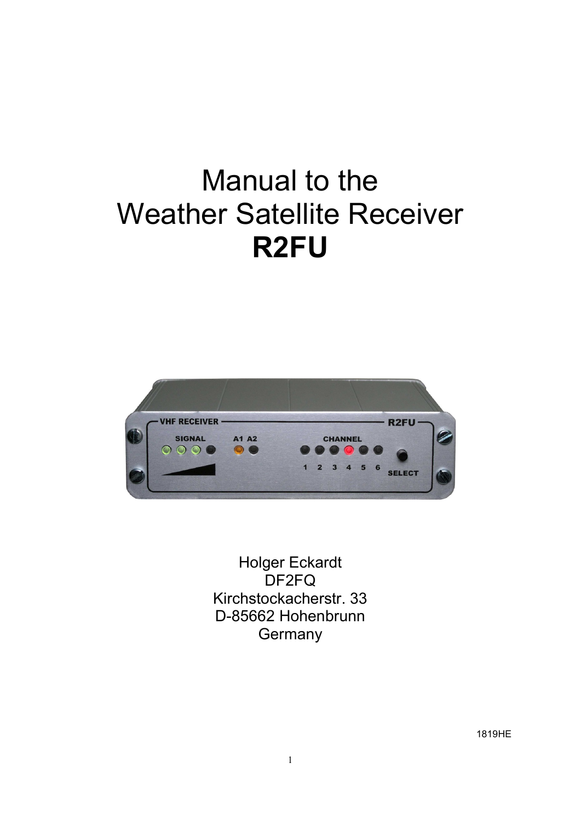# Manual to the Weather Satellite Receiver R2FU



Holger Eckardt DF2FQ Kirchstockacherstr. 33 D-85662 Hohenbrunn **Germany**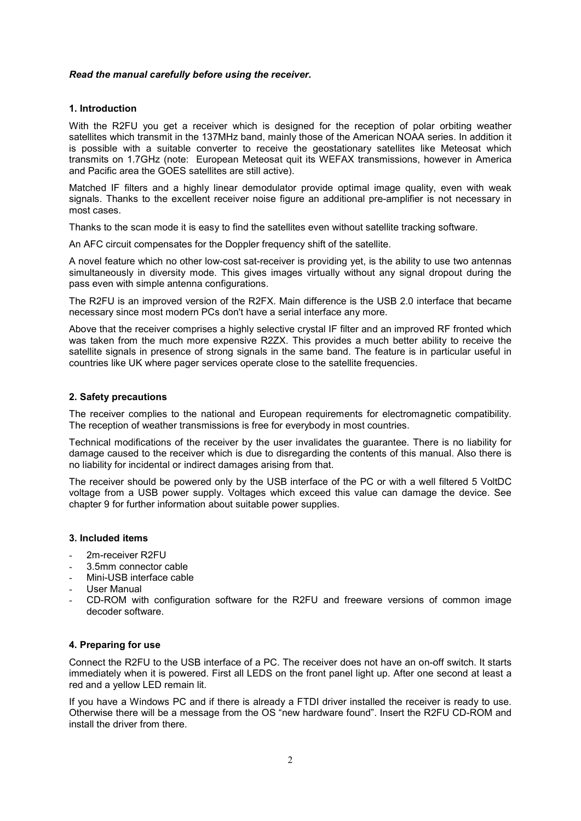#### Read the manual carefully before using the receiver.

# 1. Introduction

With the R2FU you get a receiver which is designed for the reception of polar orbiting weather satellites which transmit in the 137MHz band, mainly those of the American NOAA series. In addition it is possible with a suitable converter to receive the geostationary satellites like Meteosat which transmits on 1.7GHz (note: European Meteosat quit its WEFAX transmissions, however in America and Pacific area the GOES satellites are still active).

Matched IF filters and a highly linear demodulator provide optimal image quality, even with weak signals. Thanks to the excellent receiver noise figure an additional pre-amplifier is not necessary in most cases.

Thanks to the scan mode it is easy to find the satellites even without satellite tracking software.

An AFC circuit compensates for the Doppler frequency shift of the satellite.

A novel feature which no other low-cost sat-receiver is providing yet, is the ability to use two antennas simultaneously in diversity mode. This gives images virtually without any signal dropout during the pass even with simple antenna configurations.

The R2FU is an improved version of the R2FX. Main difference is the USB 2.0 interface that became necessary since most modern PCs don't have a serial interface any more.

Above that the receiver comprises a highly selective crystal IF filter and an improved RF fronted which was taken from the much more expensive R2ZX. This provides a much better ability to receive the satellite signals in presence of strong signals in the same band. The feature is in particular useful in countries like UK where pager services operate close to the satellite frequencies.

#### 2. Safety precautions

The receiver complies to the national and European requirements for electromagnetic compatibility. The reception of weather transmissions is free for everybody in most countries.

Technical modifications of the receiver by the user invalidates the guarantee. There is no liability for damage caused to the receiver which is due to disregarding the contents of this manual. Also there is no liability for incidental or indirect damages arising from that.

The receiver should be powered only by the USB interface of the PC or with a well filtered 5 VoltDC voltage from a USB power supply. Voltages which exceed this value can damage the device. See chapter 9 for further information about suitable power supplies.

# 3. Included items

- 2m-receiver R2FU
- 3.5mm connector cable
- Mini-USB interface cable
- User Manual
- CD-ROM with configuration software for the R2FU and freeware versions of common image decoder software.

#### 4. Preparing for use

Connect the R2FU to the USB interface of a PC. The receiver does not have an on-off switch. It starts immediately when it is powered. First all LEDS on the front panel light up. After one second at least a red and a yellow LED remain lit.

If you have a Windows PC and if there is already a FTDI driver installed the receiver is ready to use. Otherwise there will be a message from the OS "new hardware found". Insert the R2FU CD-ROM and install the driver from there.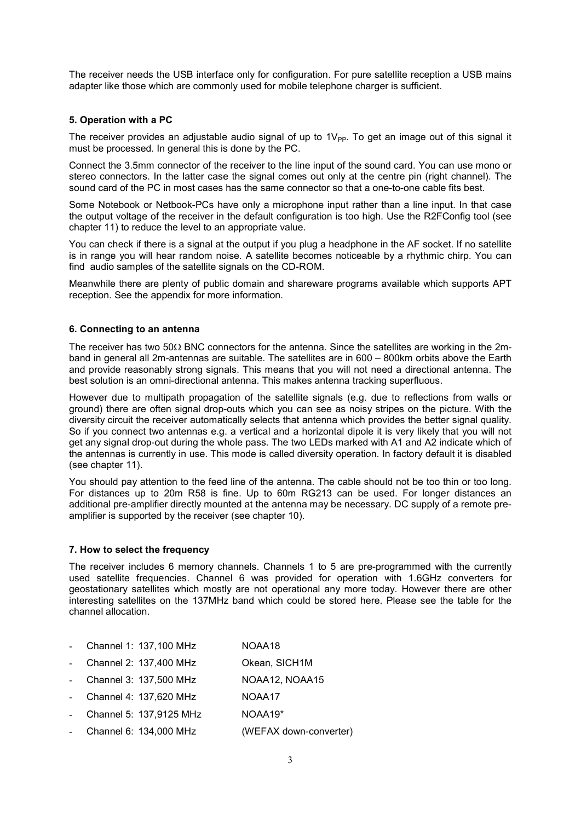The receiver needs the USB interface only for configuration. For pure satellite reception a USB mains adapter like those which are commonly used for mobile telephone charger is sufficient.

# 5. Operation with a PC

The receiver provides an adjustable audio signal of up to  $1V_{\text{PP}}$ . To get an image out of this signal it must be processed. In general this is done by the PC.

Connect the 3.5mm connector of the receiver to the line input of the sound card. You can use mono or stereo connectors. In the latter case the signal comes out only at the centre pin (right channel). The sound card of the PC in most cases has the same connector so that a one-to-one cable fits best.

Some Notebook or Netbook-PCs have only a microphone input rather than a line input. In that case the output voltage of the receiver in the default configuration is too high. Use the R2FConfig tool (see chapter 11) to reduce the level to an appropriate value.

You can check if there is a signal at the output if you plug a headphone in the AF socket. If no satellite is in range you will hear random noise. A satellite becomes noticeable by a rhythmic chirp. You can find audio samples of the satellite signals on the CD-ROM.

Meanwhile there are plenty of public domain and shareware programs available which supports APT reception. See the appendix for more information.

#### 6. Connecting to an antenna

The receiver has two 50 $\Omega$  BNC connectors for the antenna. Since the satellites are working in the 2mband in general all 2m-antennas are suitable. The satellites are in 600 – 800km orbits above the Earth and provide reasonably strong signals. This means that you will not need a directional antenna. The best solution is an omni-directional antenna. This makes antenna tracking superfluous.

However due to multipath propagation of the satellite signals (e.g. due to reflections from walls or ground) there are often signal drop-outs which you can see as noisy stripes on the picture. With the diversity circuit the receiver automatically selects that antenna which provides the better signal quality. So if you connect two antennas e.g. a vertical and a horizontal dipole it is very likely that you will not get any signal drop-out during the whole pass. The two LEDs marked with A1 and A2 indicate which of the antennas is currently in use. This mode is called diversity operation. In factory default it is disabled (see chapter 11).

You should pay attention to the feed line of the antenna. The cable should not be too thin or too long. For distances up to 20m R58 is fine. Up to 60m RG213 can be used. For longer distances an additional pre-amplifier directly mounted at the antenna may be necessary. DC supply of a remote preamplifier is supported by the receiver (see chapter 10).

#### 7. How to select the frequency

The receiver includes 6 memory channels. Channels 1 to 5 are pre-programmed with the currently used satellite frequencies. Channel 6 was provided for operation with 1.6GHz converters for geostationary satellites which mostly are not operational any more today. However there are other interesting satellites on the 137MHz band which could be stored here. Please see the table for the channel allocation.

- Channel 1: 137,100 MHz NOAA18
- Channel 2: 137,400 MHz Okean, SICH1M
- Channel 3: 137,500 MHz NOAA12, NOAA15
- Channel 4: 137,620 MHz NOAA17
- Channel 5: 137,9125 MHz NOAA19\*
- Channel 6: 134,000 MHz (WEFAX down-converter)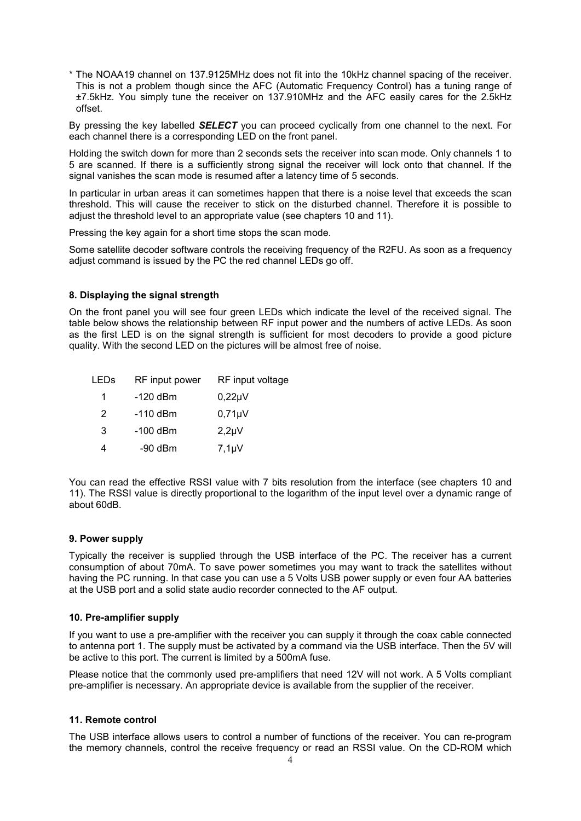\* The NOAA19 channel on 137.9125MHz does not fit into the 10kHz channel spacing of the receiver. This is not a problem though since the AFC (Automatic Frequency Control) has a tuning range of ±7.5kHz. You simply tune the receiver on 137.910MHz and the AFC easily cares for the 2.5kHz offset.

By pressing the key labelled **SELECT** you can proceed cyclically from one channel to the next. For each channel there is a corresponding LED on the front panel.

Holding the switch down for more than 2 seconds sets the receiver into scan mode. Only channels 1 to 5 are scanned. If there is a sufficiently strong signal the receiver will lock onto that channel. If the signal vanishes the scan mode is resumed after a latency time of 5 seconds.

In particular in urban areas it can sometimes happen that there is a noise level that exceeds the scan threshold. This will cause the receiver to stick on the disturbed channel. Therefore it is possible to adjust the threshold level to an appropriate value (see chapters 10 and 11).

Pressing the key again for a short time stops the scan mode.

Some satellite decoder software controls the receiving frequency of the R2FU. As soon as a frequency adjust command is issued by the PC the red channel LEDs go off.

#### 8. Displaying the signal strength

On the front panel you will see four green LEDs which indicate the level of the received signal. The table below shows the relationship between RF input power and the numbers of active LEDs. As soon as the first LED is on the signal strength is sufficient for most decoders to provide a good picture quality. With the second LED on the pictures will be almost free of noise.

| -120 dBm<br>$0,22\mu V$<br>1<br>$0,71\mu V$<br>2<br>$-110$ dBm<br>3<br>$-100$ dBm<br>$2,2\mu V$<br>$7,1 \mu V$<br>-90 dBm<br>4 | LEDs | RF input power | RF input voltage |
|--------------------------------------------------------------------------------------------------------------------------------|------|----------------|------------------|
|                                                                                                                                |      |                |                  |
|                                                                                                                                |      |                |                  |
|                                                                                                                                |      |                |                  |
|                                                                                                                                |      |                |                  |

You can read the effective RSSI value with 7 bits resolution from the interface (see chapters 10 and 11). The RSSI value is directly proportional to the logarithm of the input level over a dynamic range of about 60dB.

#### 9. Power supply

Typically the receiver is supplied through the USB interface of the PC. The receiver has a current consumption of about 70mA. To save power sometimes you may want to track the satellites without having the PC running. In that case you can use a 5 Volts USB power supply or even four AA batteries at the USB port and a solid state audio recorder connected to the AF output.

#### 10. Pre-amplifier supply

If you want to use a pre-amplifier with the receiver you can supply it through the coax cable connected to antenna port 1. The supply must be activated by a command via the USB interface. Then the 5V will be active to this port. The current is limited by a 500mA fuse.

Please notice that the commonly used pre-amplifiers that need 12V will not work. A 5 Volts compliant pre-amplifier is necessary. An appropriate device is available from the supplier of the receiver.

#### 11. Remote control

The USB interface allows users to control a number of functions of the receiver. You can re-program the memory channels, control the receive frequency or read an RSSI value. On the CD-ROM which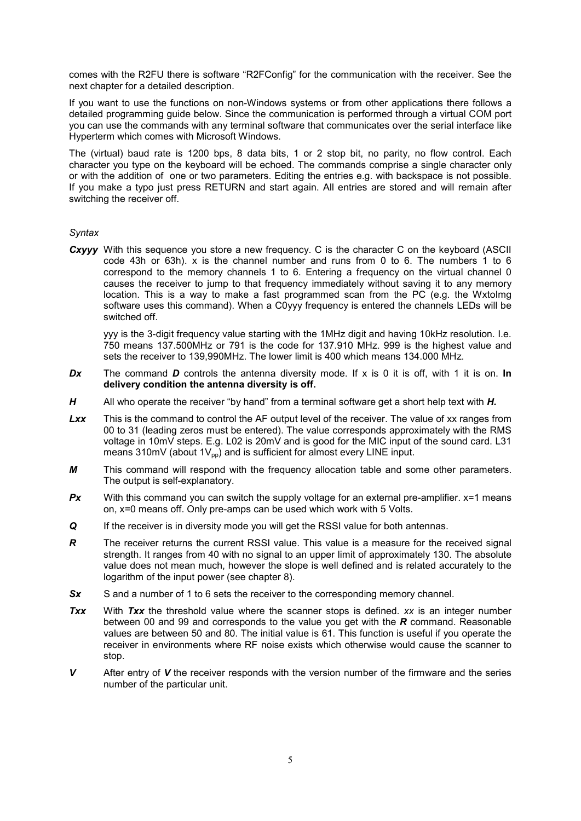comes with the R2FU there is software "R2FConfig" for the communication with the receiver. See the next chapter for a detailed description.

If you want to use the functions on non-Windows systems or from other applications there follows a detailed programming guide below. Since the communication is performed through a virtual COM port you can use the commands with any terminal software that communicates over the serial interface like Hyperterm which comes with Microsoft Windows.

The (virtual) baud rate is 1200 bps, 8 data bits, 1 or 2 stop bit, no parity, no flow control. Each character you type on the keyboard will be echoed. The commands comprise a single character only or with the addition of one or two parameters. Editing the entries e.g. with backspace is not possible. If you make a typo just press RETURN and start again. All entries are stored and will remain after switching the receiver off.

#### **Syntax**

Cxyyy With this sequence you store a new frequency. C is the character C on the keyboard (ASCII code 43h or 63h). x is the channel number and runs from 0 to 6. The numbers 1 to 6 correspond to the memory channels 1 to 6. Entering a frequency on the virtual channel 0 causes the receiver to jump to that frequency immediately without saving it to any memory location. This is a way to make a fast programmed scan from the PC (e.g. the WxtoImg software uses this command). When a C0yyy frequency is entered the channels LEDs will be switched off.

yyy is the 3-digit frequency value starting with the 1MHz digit and having 10kHz resolution. I.e. 750 means 137.500MHz or 791 is the code for 137.910 MHz. 999 is the highest value and sets the receiver to 139,990MHz. The lower limit is 400 which means 134.000 MHz.

- Dx The command D controls the antenna diversity mode. If x is 0 it is off, with 1 it is on. In delivery condition the antenna diversity is off.
- $H$  All who operate the receiver "by hand" from a terminal software get a short help text with  $H$ .
- Lxx This is the command to control the AF output level of the receiver. The value of xx ranges from 00 to 31 (leading zeros must be entered). The value corresponds approximately with the RMS voltage in 10mV steps. E.g. L02 is 20mV and is good for the MIC input of the sound card. L31 means 310mV (about  $1V_{pp}$ ) and is sufficient for almost every LINE input.
- M This command will respond with the frequency allocation table and some other parameters. The output is self-explanatory.
- **Px** With this command you can switch the supply voltage for an external pre-amplifier.  $x=1$  means on, x=0 means off. Only pre-amps can be used which work with 5 Volts.
- Q If the receiver is in diversity mode you will get the RSSI value for both antennas.
- $\mathbf R$  The receiver returns the current RSSI value. This value is a measure for the received signal strength. It ranges from 40 with no signal to an upper limit of approximately 130. The absolute value does not mean much, however the slope is well defined and is related accurately to the logarithm of the input power (see chapter 8).
- Sx S and a number of 1 to 6 sets the receiver to the corresponding memory channel.
- Txx With Txx the threshold value where the scanner stops is defined. xx is an integer number between 00 and 99 and corresponds to the value you get with the  $R$  command. Reasonable values are between 50 and 80. The initial value is 61. This function is useful if you operate the receiver in environments where RF noise exists which otherwise would cause the scanner to stop.
- $V$  After entry of  $V$  the receiver responds with the version number of the firmware and the series number of the particular unit.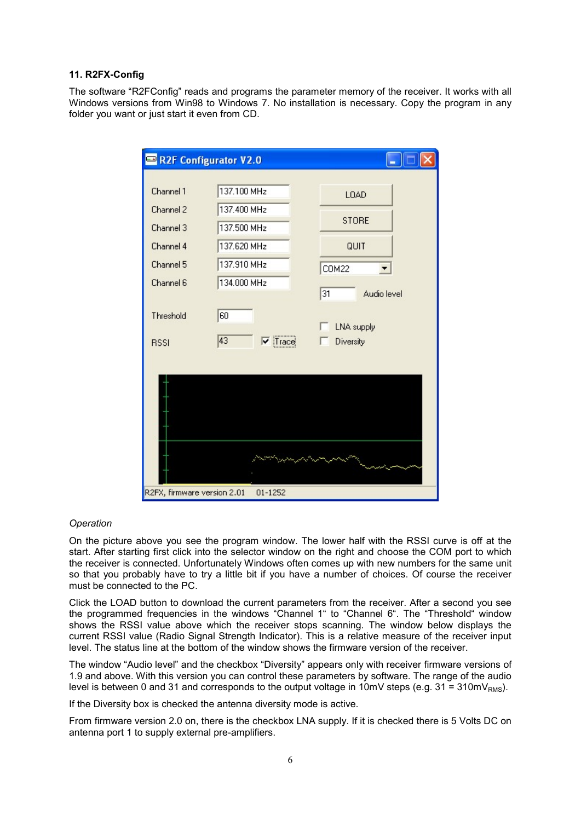#### 11. R2FX-Config

The software "R2FConfig" reads and programs the parameter memory of the receiver. It works with all Windows versions from Win98 to Windows 7. No installation is necessary. Copy the program in any folder you want or just start it even from CD.

| R2F Configurator V2.0                                                                                  |                                                                                                                      |                                                                                                            |
|--------------------------------------------------------------------------------------------------------|----------------------------------------------------------------------------------------------------------------------|------------------------------------------------------------------------------------------------------------|
| Channel 1<br>Channel 2<br>Channel 3<br>Channel 4<br>Channel 5<br>Channel 6<br>Threshold<br><b>RSSI</b> | 137.100 MHz<br>137.400 MHz<br>137.500 MHz<br>137.620 MHz<br>137.910 MHz<br>134.000 MHz<br>60<br>43<br>$\nabla$ Trace | <b>LOAD</b><br><b>STORE</b><br>QUIT<br><b>COM22</b><br>31<br>Audio level<br><b>LNA</b> supply<br>Diversity |
| R2FX, firmware version 2.01                                                                            | 01-1252                                                                                                              |                                                                                                            |

# **Operation**

On the picture above you see the program window. The lower half with the RSSI curve is off at the start. After starting first click into the selector window on the right and choose the COM port to which the receiver is connected. Unfortunately Windows often comes up with new numbers for the same unit so that you probably have to try a little bit if you have a number of choices. Of course the receiver must be connected to the PC.

Click the LOAD button to download the current parameters from the receiver. After a second you see the programmed frequencies in the windows "Channel 1" to "Channel 6". The "Threshold" window shows the RSSI value above which the receiver stops scanning. The window below displays the current RSSI value (Radio Signal Strength Indicator). This is a relative measure of the receiver input level. The status line at the bottom of the window shows the firmware version of the receiver.

The window "Audio level" and the checkbox "Diversity" appears only with receiver firmware versions of 1.9 and above. With this version you can control these parameters by software. The range of the audio level is between 0 and 31 and corresponds to the output voltage in 10mV steps (e.g. 31 = 310mV<sub>RMS</sub>).

If the Diversity box is checked the antenna diversity mode is active.

From firmware version 2.0 on, there is the checkbox LNA supply. If it is checked there is 5 Volts DC on antenna port 1 to supply external pre-amplifiers.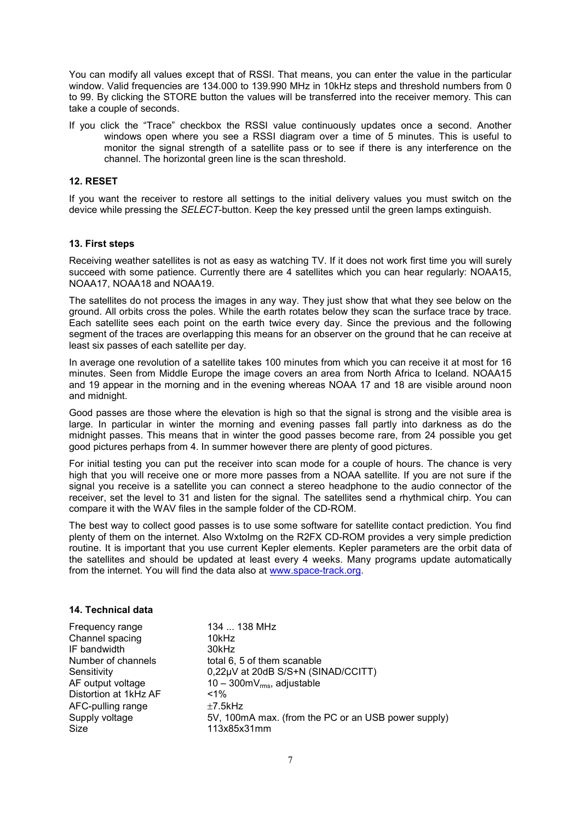You can modify all values except that of RSSI. That means, you can enter the value in the particular window. Valid frequencies are 134.000 to 139.990 MHz in 10kHz steps and threshold numbers from 0 to 99. By clicking the STORE button the values will be transferred into the receiver memory. This can take a couple of seconds.

If you click the "Trace" checkbox the RSSI value continuously updates once a second. Another windows open where you see a RSSI diagram over a time of 5 minutes. This is useful to monitor the signal strength of a satellite pass or to see if there is any interference on the channel. The horizontal green line is the scan threshold.

#### 12. RESET

If you want the receiver to restore all settings to the initial delivery values you must switch on the device while pressing the *SELECT*-button. Keep the key pressed until the green lamps extinguish.

#### 13. First steps

Receiving weather satellites is not as easy as watching TV. If it does not work first time you will surely succeed with some patience. Currently there are 4 satellites which you can hear regularly: NOAA15, NOAA17, NOAA18 and NOAA19.

The satellites do not process the images in any way. They just show that what they see below on the ground. All orbits cross the poles. While the earth rotates below they scan the surface trace by trace. Each satellite sees each point on the earth twice every day. Since the previous and the following segment of the traces are overlapping this means for an observer on the ground that he can receive at least six passes of each satellite per day.

In average one revolution of a satellite takes 100 minutes from which you can receive it at most for 16 minutes. Seen from Middle Europe the image covers an area from North Africa to Iceland. NOAA15 and 19 appear in the morning and in the evening whereas NOAA 17 and 18 are visible around noon and midnight.

Good passes are those where the elevation is high so that the signal is strong and the visible area is large. In particular in winter the morning and evening passes fall partly into darkness as do the midnight passes. This means that in winter the good passes become rare, from 24 possible you get good pictures perhaps from 4. In summer however there are plenty of good pictures.

For initial testing you can put the receiver into scan mode for a couple of hours. The chance is very high that you will receive one or more more passes from a NOAA satellite. If you are not sure if the signal you receive is a satellite you can connect a stereo headphone to the audio connector of the receiver, set the level to 31 and listen for the signal. The satellites send a rhythmical chirp. You can compare it with the WAV files in the sample folder of the CD-ROM.

The best way to collect good passes is to use some software for satellite contact prediction. You find plenty of them on the internet. Also WxtoImg on the R2FX CD-ROM provides a very simple prediction routine. It is important that you use current Kepler elements. Kepler parameters are the orbit data of the satellites and should be updated at least every 4 weeks. Many programs update automatically from the internet. You will find the data also at www.space-track.org.

#### 14. Technical data

Channel spacing 10kHz IF bandwidth 30kHz Distortion at 1kHz AF  $AFC$ -pulling range  $±7.5$ kHz Size 113x85x31mm

Frequency range 134 ... 138 MHz Number of channels total 6, 5 of them scanable Sensitivity 0,22µV at 20dB S/S+N (SINAD/CCITT) AF output voltage  $10 - 300$ mV<sub>rms</sub>, adjustable<br>Distortion at 1kHz AF  $\leq 1\%$ Supply voltage 5V, 100mA max. (from the PC or an USB power supply)